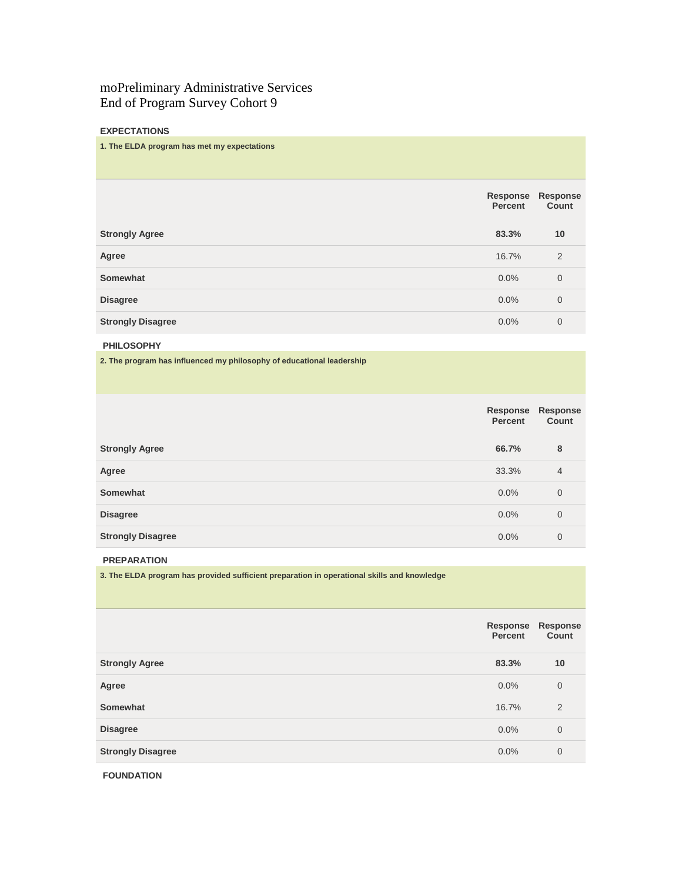# moPreliminary Administrative Services End of Program Survey Cohort 9

# **EXPECTATIONS**

## **1. The ELDA program has met my expectations**

|                          | Response<br><b>Percent</b> | <b>Response</b><br>Count |
|--------------------------|----------------------------|--------------------------|
| <b>Strongly Agree</b>    | 83.3%                      | 10                       |
| Agree                    | 16.7%                      | 2                        |
| Somewhat                 | $0.0\%$                    | $\overline{0}$           |
| <b>Disagree</b>          | 0.0%                       | $\mathbf 0$              |
| <b>Strongly Disagree</b> | 0.0%                       | $\overline{0}$           |

# **PHILOSOPHY**

**2. The program has influenced my philosophy of educational leadership**

|                          | Response<br>Percent | <b>Response</b><br>Count |
|--------------------------|---------------------|--------------------------|
| <b>Strongly Agree</b>    | 66.7%               | 8                        |
| Agree                    | 33.3%               | $\overline{4}$           |
| Somewhat                 | 0.0%                | $\mathbf{0}$             |
| <b>Disagree</b>          | 0.0%                | $\overline{0}$           |
| <b>Strongly Disagree</b> | 0.0%                | 0                        |

#### **PREPARATION**

**3. The ELDA program has provided sufficient preparation in operational skills and knowledge**

|                          | Response<br><b>Percent</b> | Response<br>Count |
|--------------------------|----------------------------|-------------------|
| <b>Strongly Agree</b>    | 83.3%                      | 10                |
| Agree                    | 0.0%                       | $\overline{0}$    |
| Somewhat                 | 16.7%                      | 2                 |
| <b>Disagree</b>          | 0.0%                       | $\overline{0}$    |
| <b>Strongly Disagree</b> | 0.0%                       | $\overline{0}$    |
|                          |                            |                   |

**FOUNDATION**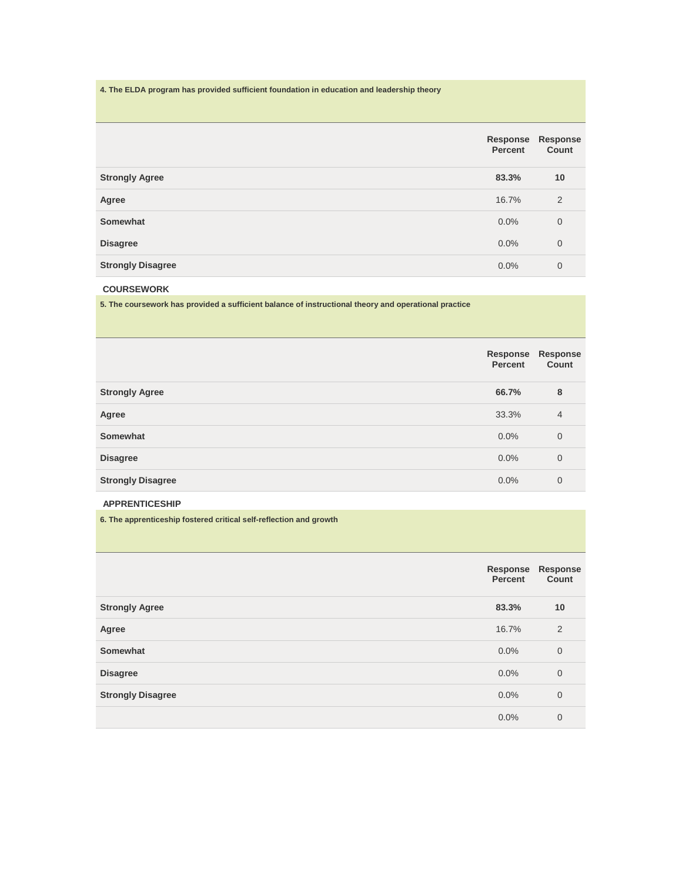# **4. The ELDA program has provided sufficient foundation in education and leadership theory**

|                          | Response<br><b>Percent</b> | <b>Response</b><br>Count |
|--------------------------|----------------------------|--------------------------|
| <b>Strongly Agree</b>    | 83.3%                      | 10                       |
| Agree                    | 16.7%                      | 2                        |
| Somewhat                 | 0.0%                       | $\overline{0}$           |
| <b>Disagree</b>          | $0.0\%$                    | $\mathbf 0$              |
| <b>Strongly Disagree</b> | 0.0%                       | $\overline{0}$           |

# **COURSEWORK**

**5. The coursework has provided a sufficient balance of instructional theory and operational practice**

| Count |
|-------|
|       |
|       |
|       |
|       |
|       |
|       |

# **APPRENTICESHIP**

**6. The apprenticeship fostered critical self-reflection and growth**

|                          | Response<br>Percent | Response<br>Count |
|--------------------------|---------------------|-------------------|
| <b>Strongly Agree</b>    | 83.3%               | 10                |
| Agree                    | 16.7%               | 2                 |
| Somewhat                 | 0.0%                | $\overline{0}$    |
| <b>Disagree</b>          | 0.0%                | $\overline{0}$    |
| <b>Strongly Disagree</b> | $0.0\%$             | $\overline{0}$    |
|                          | 0.0%                | $\overline{0}$    |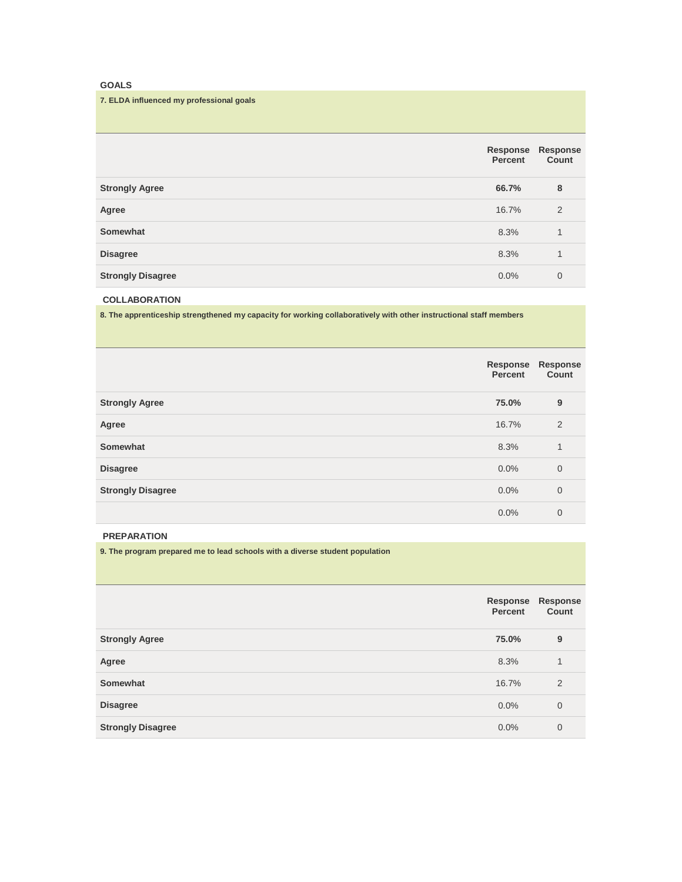# **GOALS**

## **7. ELDA influenced my professional goals**

|                          | Response<br><b>Percent</b> | <b>Response</b><br>Count |
|--------------------------|----------------------------|--------------------------|
| <b>Strongly Agree</b>    | 66.7%                      | 8                        |
| Agree                    | 16.7%                      | 2                        |
| Somewhat                 | 8.3%                       | 1                        |
| <b>Disagree</b>          | 8.3%                       | 1                        |
| <b>Strongly Disagree</b> | 0.0%                       | $\overline{0}$           |

## **COLLABORATION**

**8. The apprenticeship strengthened my capacity for working collaboratively with other instructional staff members**

|                          | Response<br>Percent | Response<br>Count |
|--------------------------|---------------------|-------------------|
| <b>Strongly Agree</b>    | 75.0%               | 9                 |
| Agree                    | 16.7%               | 2                 |
| Somewhat                 | 8.3%                | 1                 |
| <b>Disagree</b>          | 0.0%                | $\overline{0}$    |
| <b>Strongly Disagree</b> | 0.0%                | $\overline{0}$    |
|                          | 0.0%                | $\mathbf 0$       |

#### **PREPARATION**

**9. The program prepared me to lead schools with a diverse student population**

|                          | Response<br>Percent | Response<br>Count |
|--------------------------|---------------------|-------------------|
| <b>Strongly Agree</b>    | 75.0%               | 9                 |
| Agree                    | 8.3%                | 1                 |
| Somewhat                 | 16.7%               | 2                 |
| <b>Disagree</b>          | 0.0%                | $\overline{0}$    |
| <b>Strongly Disagree</b> | 0.0%                | $\mathbf{0}$      |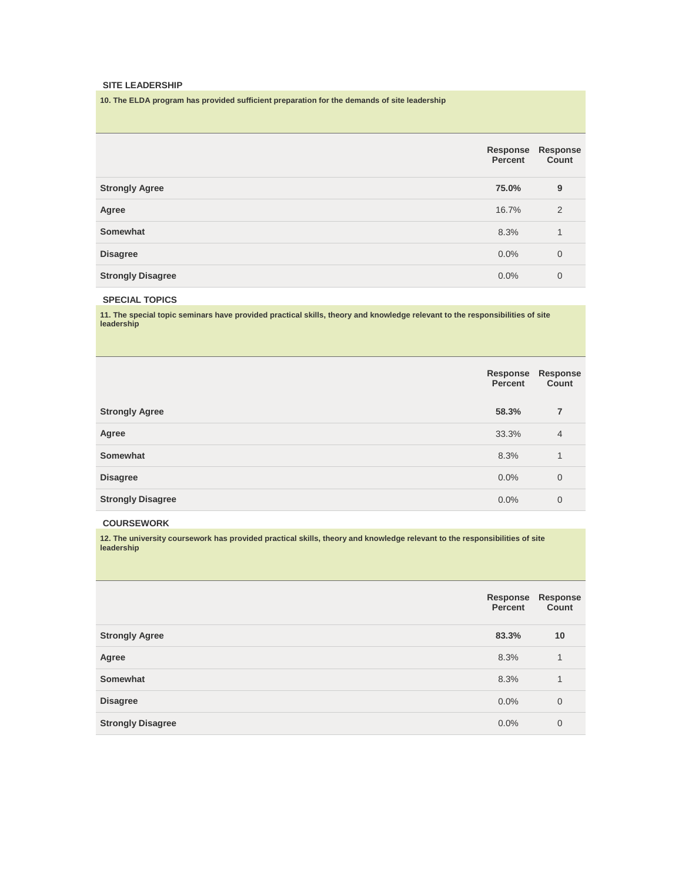#### **SITE LEADERSHIP**

**10. The ELDA program has provided sufficient preparation for the demands of site leadership**

|                          | Response<br>Percent | <b>Response</b><br>Count |
|--------------------------|---------------------|--------------------------|
| <b>Strongly Agree</b>    | 75.0%               | 9                        |
| Agree                    | 16.7%               | 2                        |
| Somewhat                 | 8.3%                | 1                        |
| <b>Disagree</b>          | 0.0%                | $\overline{0}$           |
| <b>Strongly Disagree</b> | 0.0%                | 0                        |

## **SPECIAL TOPICS**

**11. The special topic seminars have provided practical skills, theory and knowledge relevant to the responsibilities of site leadership**

|                          | Response<br>Percent | Response<br>Count |
|--------------------------|---------------------|-------------------|
| <b>Strongly Agree</b>    | 58.3%               | 7                 |
| Agree                    | 33.3%               | $\overline{4}$    |
| Somewhat                 | 8.3%                | 1                 |
| <b>Disagree</b>          | 0.0%                | $\overline{0}$    |
| <b>Strongly Disagree</b> | $0.0\%$             | $\overline{0}$    |

## **COURSEWORK**

**12. The university coursework has provided practical skills, theory and knowledge relevant to the responsibilities of site leadership**

|                          | Response<br>Percent | <b>Response</b><br>Count |
|--------------------------|---------------------|--------------------------|
| <b>Strongly Agree</b>    | 83.3%               | 10                       |
| Agree                    | 8.3%                | 1                        |
| Somewhat                 | 8.3%                | 1                        |
| <b>Disagree</b>          | 0.0%                | $\overline{0}$           |
| <b>Strongly Disagree</b> | 0.0%                | $\overline{0}$           |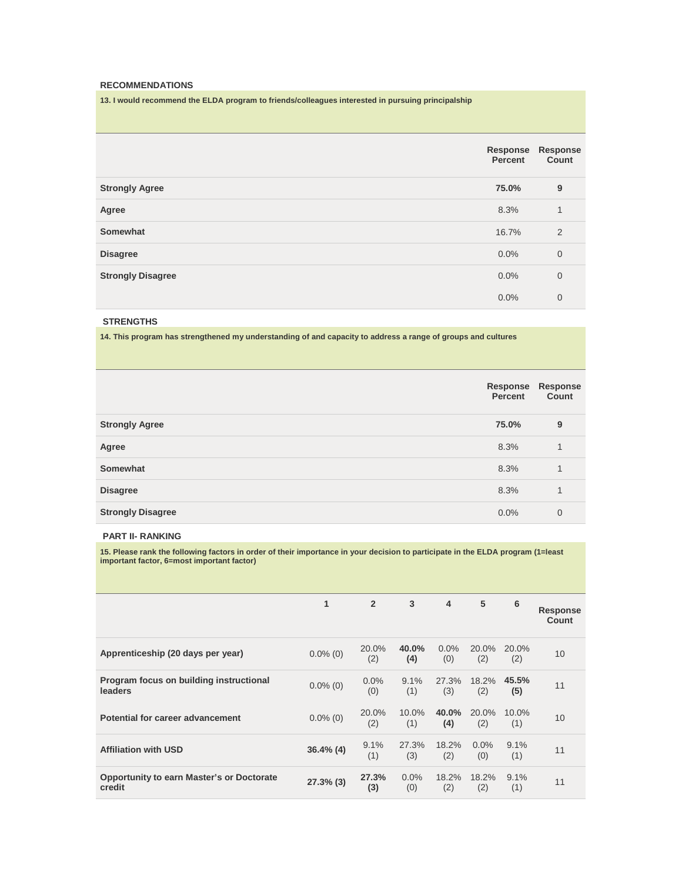#### **RECOMMENDATIONS**

**13. I would recommend the ELDA program to friends/colleagues interested in pursuing principalship**

|                          | Response<br>Percent | Response<br>Count |
|--------------------------|---------------------|-------------------|
| <b>Strongly Agree</b>    | 75.0%               | 9                 |
| Agree                    | 8.3%                | 1                 |
| Somewhat                 | 16.7%               | 2                 |
| <b>Disagree</b>          | 0.0%                | $\mathbf 0$       |
| <b>Strongly Disagree</b> | 0.0%                | $\overline{0}$    |
|                          | 0.0%                | $\overline{0}$    |

## **STRENGTHS**

**14. This program has strengthened my understanding of and capacity to address a range of groups and cultures**

|                          | Response<br>Percent | <b>Response</b><br>Count |
|--------------------------|---------------------|--------------------------|
| <b>Strongly Agree</b>    | 75.0%               | 9                        |
| Agree                    | 8.3%                | 1                        |
| Somewhat                 | 8.3%                | 1                        |
| <b>Disagree</b>          | 8.3%                | 1                        |
| <b>Strongly Disagree</b> | 0.0%                | $\overline{0}$           |

#### **PART II- RANKING**

**15. Please rank the following factors in order of their importance in your decision to participate in the ELDA program (1=least important factor, 6=most important factor)**

|                                                            | 1            | $\overline{2}$ | 3               | $\overline{4}$ | 5            | 6               | <b>Response</b><br>Count |
|------------------------------------------------------------|--------------|----------------|-----------------|----------------|--------------|-----------------|--------------------------|
| Apprenticeship (20 days per year)                          | $0.0\%$ (0)  | 20.0%<br>(2)   | 40.0%<br>(4)    | 0.0%<br>(0)    | 20.0%<br>(2) | 20.0%<br>(2)    | 10                       |
| Program focus on building instructional<br>leaders         | $0.0\%$ (0)  | $0.0\%$<br>(0) | 9.1%<br>(1)     | 27.3%<br>(3)   | 18.2%<br>(2) | 45.5%<br>(5)    | 11                       |
| Potential for career advancement                           | $0.0\%$ (0)  | 20.0%<br>(2)   | $10.0\%$<br>(1) | 40.0%<br>(4)   | 20.0%<br>(2) | $10.0\%$<br>(1) | 10                       |
| <b>Affiliation with USD</b>                                | $36.4\%$ (4) | 9.1%<br>(1)    | 27.3%<br>(3)    | 18.2%<br>(2)   | 0.0%<br>(0)  | 9.1%<br>(1)     | 11                       |
| <b>Opportunity to earn Master's or Doctorate</b><br>credit | $27.3\%$ (3) | 27.3%<br>(3)   | 0.0%<br>(0)     | 18.2%<br>(2)   | 18.2%<br>(2) | 9.1%<br>(1)     | 11                       |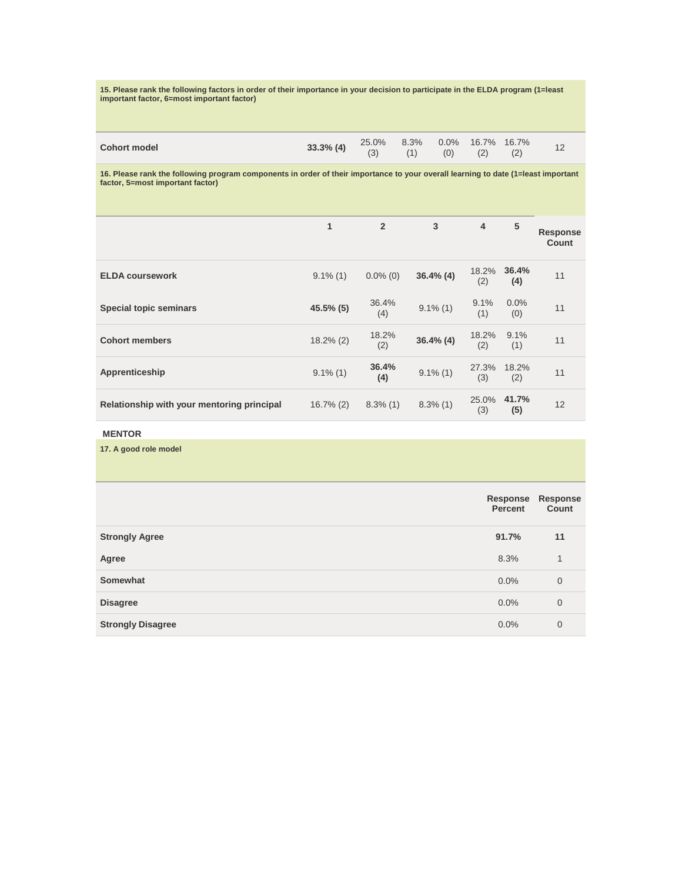**15. Please rank the following factors in order of their importance in your decision to participate in the ELDA program (1=least important factor, 6=most important factor)**

|  |  | <b>33.3% (4)</b> $\begin{array}{cccc} 25.0\% & 8.3\% & 0.0\% & 16.7\% & 16.7\% \\ (3) & (1) & (0) & (2) & (2) & 12 \end{array}$ |
|--|--|---------------------------------------------------------------------------------------------------------------------------------|

**16. Please rank the following program components in order of their importance to your overall learning to date (1=least important factor, 5=most important factor)**

|                                            | 1            | $\overline{2}$ | 3            | $\overline{4}$ | 5            | <b>Response</b><br>Count |
|--------------------------------------------|--------------|----------------|--------------|----------------|--------------|--------------------------|
| <b>ELDA coursework</b>                     | $9.1\%$ (1)  | $0.0\%$ (0)    | $36.4\%$ (4) | 18.2%<br>(2)   | 36.4%<br>(4) | 11                       |
| <b>Special topic seminars</b>              | 45.5% (5)    | 36.4%<br>(4)   | $9.1\%$ (1)  | 9.1%<br>(1)    | 0.0%<br>(0)  | 11                       |
| <b>Cohort members</b>                      | $18.2\%$ (2) | 18.2%<br>(2)   | $36.4\%$ (4) | 18.2%<br>(2)   | 9.1%<br>(1)  | 11                       |
| Apprenticeship                             | $9.1\%$ (1)  | 36.4%<br>(4)   | $9.1\%$ (1)  | 27.3%<br>(3)   | 18.2%<br>(2) | 11                       |
| Relationship with your mentoring principal | $16.7\%$ (2) | $8.3\%$ (1)    | $8.3\%$ (1)  | 25.0%<br>(3)   | 41.7%<br>(5) | 12                       |

# **MENTOR**

**17. A good role model**

|                          | Response<br>Percent | Response<br>Count |
|--------------------------|---------------------|-------------------|
| <b>Strongly Agree</b>    | 91.7%               | 11                |
| Agree                    | 8.3%                | 1                 |
| Somewhat                 | 0.0%                | $\overline{0}$    |
| <b>Disagree</b>          | 0.0%                | $\overline{0}$    |
| <b>Strongly Disagree</b> | 0.0%                | $\mathbf{0}$      |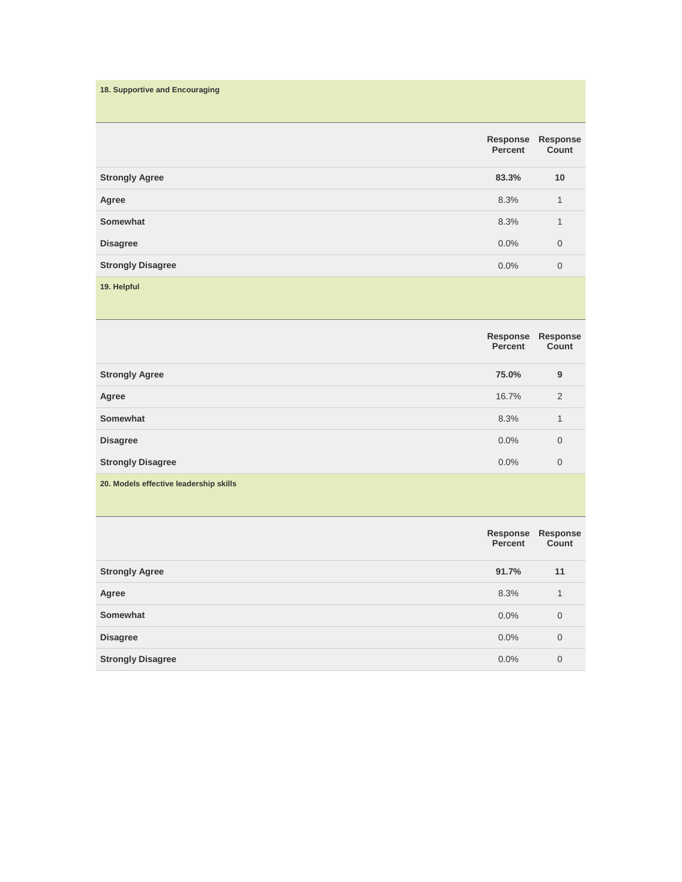| 18. Supportive and Encouraging |                     |                          |
|--------------------------------|---------------------|--------------------------|
|                                | Response<br>Percent | <b>Response</b><br>Count |
| <b>Strongly Agree</b>          | 83.3%               | 10                       |
| Agree                          | 8.3%                | $\mathbf{1}$             |
| Somewhat                       | 8.3%                | $\mathbf{1}$             |
| <b>Disagree</b>                | 0.0%                | $\mathbf 0$              |
| <b>Strongly Disagree</b>       | $0.0\%$             | $\mathbf 0$              |
| 19. Helpful                    |                     |                          |

|                                        | Response<br><b>Percent</b> | Response<br>Count |
|----------------------------------------|----------------------------|-------------------|
| <b>Strongly Agree</b>                  | 75.0%                      | 9                 |
| Agree                                  | 16.7%                      | 2                 |
| Somewhat                               | 8.3%                       | 1                 |
| <b>Disagree</b>                        | $0.0\%$                    | $\overline{0}$    |
| <b>Strongly Disagree</b>               | $0.0\%$                    | $\overline{0}$    |
| 20. Models effective leadership skills |                            |                   |

|                          | Percent | Response Response<br>Count |
|--------------------------|---------|----------------------------|
| <b>Strongly Agree</b>    | 91.7%   | 11                         |
| Agree                    | 8.3%    | 1                          |
| Somewhat                 | $0.0\%$ | $\mathbf{0}$               |
| <b>Disagree</b>          | $0.0\%$ | $\overline{0}$             |
| <b>Strongly Disagree</b> | $0.0\%$ | 0                          |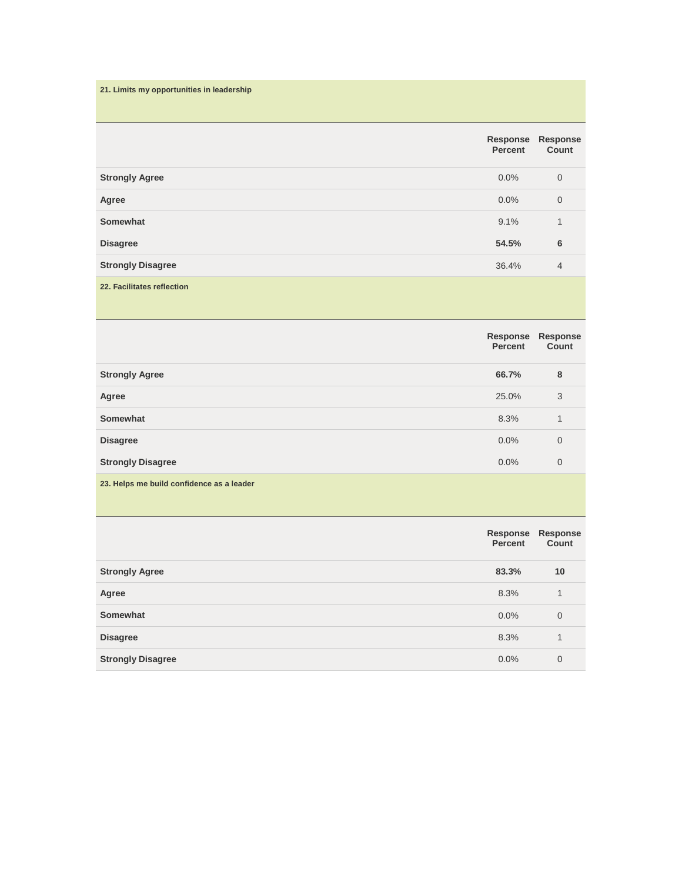| 21. Limits my opportunities in leadership |                     |                   |
|-------------------------------------------|---------------------|-------------------|
|                                           | Response<br>Percent | Response<br>Count |
| <b>Strongly Agree</b>                     | 0.0%                | $\mathbf 0$       |
| Agree                                     | 0.0%                | $\mathbf 0$       |
| Somewhat                                  | 9.1%                | 1                 |
| <b>Disagree</b>                           | 54.5%               | 6                 |
| <b>Strongly Disagree</b>                  | 36.4%               | $\overline{4}$    |
| 22. Facilitates reflection                |                     |                   |

|                                           | Response<br>Percent | Response<br>Count |
|-------------------------------------------|---------------------|-------------------|
| <b>Strongly Agree</b>                     | 66.7%               | 8                 |
| Agree                                     | 25.0%               | 3                 |
| Somewhat                                  | 8.3%                | 1                 |
| <b>Disagree</b>                           | 0.0%                | $\mathbf{0}$      |
| <b>Strongly Disagree</b>                  | 0.0%                | $\mathbf{0}$      |
| 23. Helps me build confidence as a leader |                     |                   |

|                          | Response<br>Percent | Response<br>Count |
|--------------------------|---------------------|-------------------|
| <b>Strongly Agree</b>    | 83.3%               | 10                |
| Agree                    | 8.3%                | 1                 |
| Somewhat                 | $0.0\%$             | $\mathbf 0$       |
| <b>Disagree</b>          | 8.3%                | 1                 |
| <b>Strongly Disagree</b> | $0.0\%$             | $\overline{0}$    |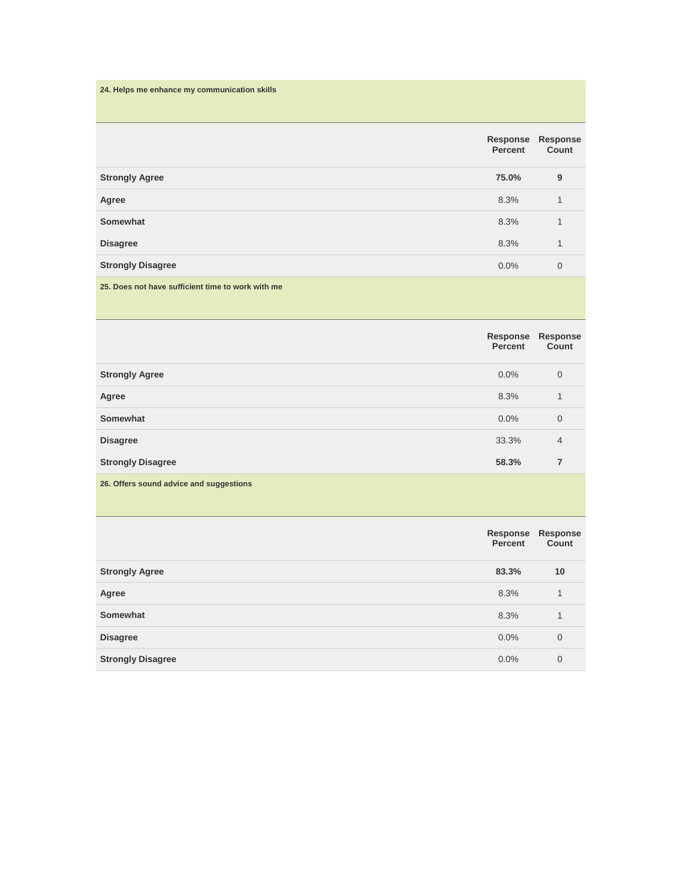| 24. Helps me enhance my communication skills      |                            |                   |
|---------------------------------------------------|----------------------------|-------------------|
|                                                   | Response<br><b>Percent</b> | Response<br>Count |
| <b>Strongly Agree</b>                             | 75.0%                      | 9                 |
| Agree                                             | 8.3%                       | 1                 |
| Somewhat                                          | 8.3%                       | 1                 |
| <b>Disagree</b>                                   | 8.3%                       | 1                 |
| <b>Strongly Disagree</b>                          | 0.0%                       | $\mathbf 0$       |
| 25. Does not have sufficient time to work with me |                            |                   |

|                                         | Response<br><b>Percent</b> | <b>Response</b><br>Count |
|-----------------------------------------|----------------------------|--------------------------|
| <b>Strongly Agree</b>                   | $0.0\%$                    | $\overline{0}$           |
| Agree                                   | 8.3%                       | 1                        |
| Somewhat                                | $0.0\%$                    | $\overline{0}$           |
| <b>Disagree</b>                         | 33.3%                      | $\overline{4}$           |
| <b>Strongly Disagree</b>                | 58.3%                      | 7                        |
| 26. Offers sound advice and suggestions |                            |                          |

|                          | Percent | Response Response<br>Count |
|--------------------------|---------|----------------------------|
| <b>Strongly Agree</b>    | 83.3%   | 10                         |
| Agree                    | 8.3%    | 1                          |
| Somewhat                 | 8.3%    | 1                          |
| <b>Disagree</b>          | $0.0\%$ | $\overline{0}$             |
| <b>Strongly Disagree</b> | $0.0\%$ | 0                          |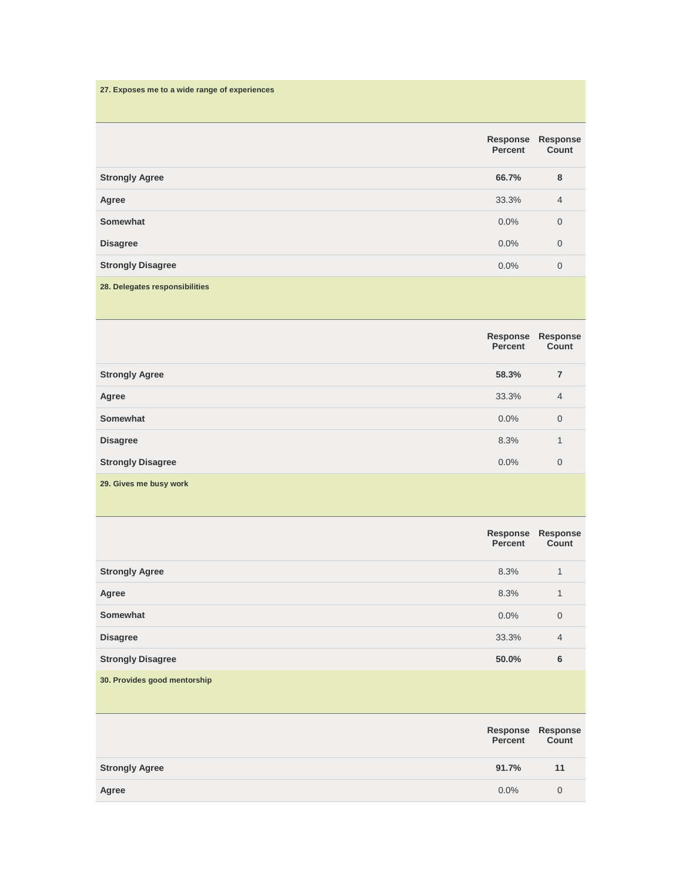| 27. Exposes me to a wide range of experiences |                            |                   |
|-----------------------------------------------|----------------------------|-------------------|
|                                               | Response<br><b>Percent</b> | Response<br>Count |
| <b>Strongly Agree</b>                         | 66.7%                      | 8                 |
| Agree                                         | 33.3%                      | $\overline{4}$    |
| Somewhat                                      | 0.0%                       | $\mathbf 0$       |
| <b>Disagree</b>                               | 0.0%                       | 0                 |
| <b>Strongly Disagree</b>                      | 0.0%                       | $\mathbf 0$       |
| 28. Delegates responsibilities                |                            |                   |

|                          | Response<br>Percent | Response<br>Count |
|--------------------------|---------------------|-------------------|
| <b>Strongly Agree</b>    | 58.3%               | 7                 |
| Agree                    | 33.3%               | $\overline{4}$    |
| Somewhat                 | 0.0%                | $\overline{0}$    |
| <b>Disagree</b>          | 8.3%                | 1                 |
| <b>Strongly Disagree</b> | 0.0%                | $\overline{0}$    |
| 29. Gives me busy work   |                     |                   |

|                              | Response<br><b>Percent</b> | Response<br>Count |
|------------------------------|----------------------------|-------------------|
| <b>Strongly Agree</b>        | 8.3%                       | $\mathbf{1}$      |
| Agree                        | 8.3%                       | $\mathbf{1}$      |
| Somewhat                     | $0.0\%$                    | $\mathbf 0$       |
| <b>Disagree</b>              | 33.3%                      | $\overline{4}$    |
| <b>Strongly Disagree</b>     | 50.0%                      | 6                 |
| 30. Provides good mentorship |                            |                   |
|                              | <b>Response</b><br>Percent | Response<br>Count |
| <b>Strongly Agree</b>        | 91.7%                      | 11                |
| Agree                        | 0.0%                       | $\mathbf{0}$      |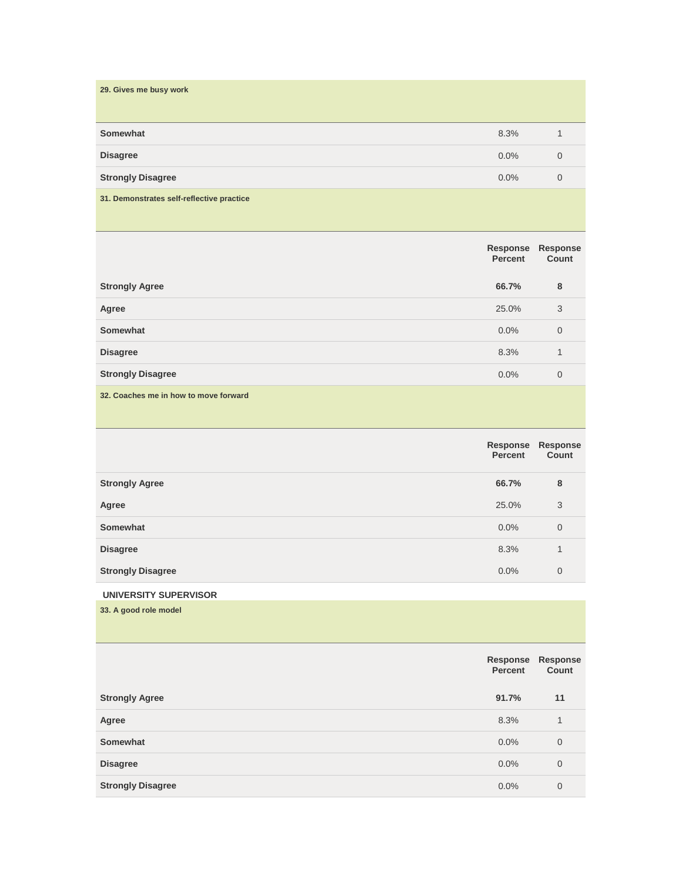| 29. Gives me busy work                    |         |                |
|-------------------------------------------|---------|----------------|
| Somewhat                                  | 8.3%    | 1              |
| <b>Disagree</b>                           | $0.0\%$ | $\Omega$       |
| <b>Strongly Disagree</b>                  | $0.0\%$ | $\overline{0}$ |
| 31. Demonstrates self-reflective practice |         |                |

|                          | Response<br>Percent | Response<br>Count |
|--------------------------|---------------------|-------------------|
| <b>Strongly Agree</b>    | 66.7%               | 8                 |
| Agree                    | 25.0%               | 3                 |
| Somewhat                 | $0.0\%$             | $\overline{0}$    |
| <b>Disagree</b>          | 8.3%                | 1                 |
| <b>Strongly Disagree</b> | $0.0\%$             | $\overline{0}$    |

**32. Coaches me in how to move forward**

|                          | Response<br><b>Percent</b> | Response<br>Count |
|--------------------------|----------------------------|-------------------|
| <b>Strongly Agree</b>    | 66.7%                      | 8                 |
| Agree                    | 25.0%                      | 3                 |
| Somewhat                 | $0.0\%$                    | $\overline{0}$    |
| <b>Disagree</b>          | 8.3%                       | 1                 |
| <b>Strongly Disagree</b> | 0.0%                       | $\overline{0}$    |

# **UNIVERSITY SUPERVISOR**

**33. A good role model**

|                          | Response<br><b>Percent</b> | <b>Response</b><br>Count |
|--------------------------|----------------------------|--------------------------|
| <b>Strongly Agree</b>    | 91.7%                      | 11                       |
| Agree                    | 8.3%                       | 1                        |
| Somewhat                 | 0.0%                       | $\overline{0}$           |
| <b>Disagree</b>          | 0.0%                       | $\overline{0}$           |
| <b>Strongly Disagree</b> | 0.0%                       | $\overline{0}$           |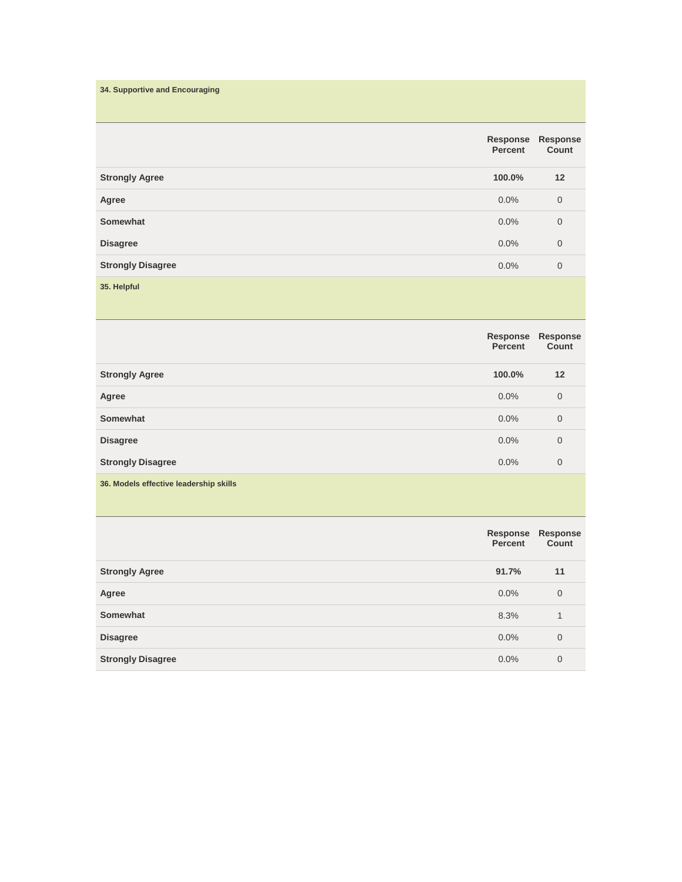| 34. Supportive and Encouraging |                     |                          |
|--------------------------------|---------------------|--------------------------|
|                                | Response<br>Percent | <b>Response</b><br>Count |
| <b>Strongly Agree</b>          | 100.0%              | 12                       |
| Agree                          | 0.0%                | $\mathbf 0$              |
| Somewhat                       | 0.0%                | $\mathbf 0$              |
| <b>Disagree</b>                | 0.0%                | $\mathbf 0$              |
| <b>Strongly Disagree</b>       | 0.0%                | $\mathbf 0$              |
| 35. Helpful                    |                     |                          |

|                                        | Response<br><b>Percent</b> | Response<br>Count |
|----------------------------------------|----------------------------|-------------------|
| <b>Strongly Agree</b>                  | 100.0%                     | 12                |
| Agree                                  | $0.0\%$                    | $\overline{0}$    |
| Somewhat                               | $0.0\%$                    | $\overline{0}$    |
| <b>Disagree</b>                        | 0.0%                       | $\mathbf 0$       |
| <b>Strongly Disagree</b>               | 0.0%                       | $\mathbf 0$       |
| 36. Models effective leadership skills |                            |                   |

|                          | Percent | Response Response<br>Count |
|--------------------------|---------|----------------------------|
| <b>Strongly Agree</b>    | 91.7%   | 11                         |
| Agree                    | $0.0\%$ | $\mathbf 0$                |
| Somewhat                 | 8.3%    | 1                          |
| <b>Disagree</b>          | 0.0%    | $\overline{0}$             |
| <b>Strongly Disagree</b> | $0.0\%$ | $\overline{0}$             |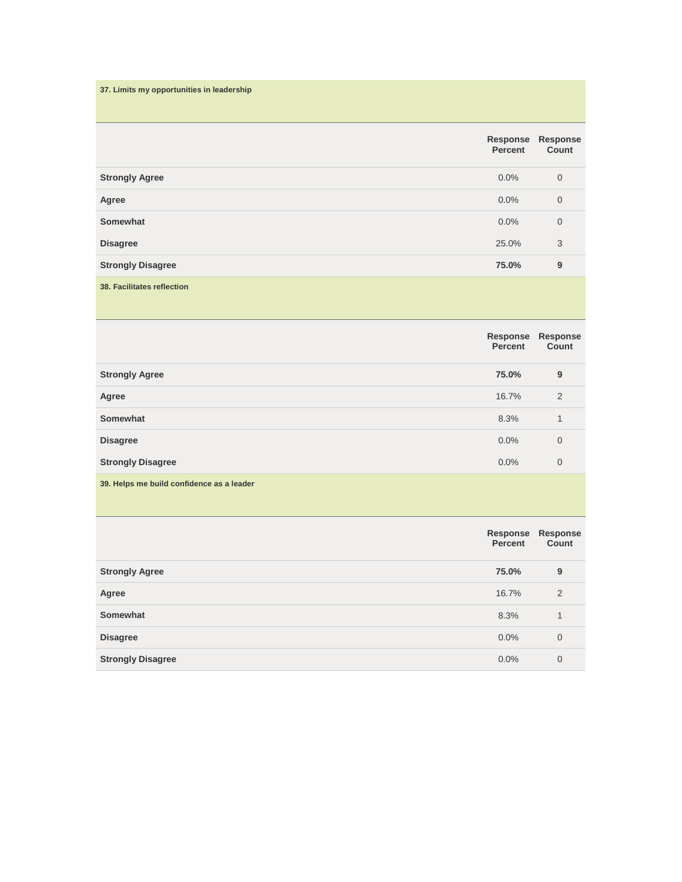| 37. Limits my opportunities in leadership |                            |                   |
|-------------------------------------------|----------------------------|-------------------|
|                                           | Response<br><b>Percent</b> | Response<br>Count |
| <b>Strongly Agree</b>                     | 0.0%                       | $\mathbf 0$       |
| Agree                                     | 0.0%                       | $\mathbf 0$       |
| Somewhat                                  | 0.0%                       | $\mathbf 0$       |
| <b>Disagree</b>                           | 25.0%                      | 3                 |
| <b>Strongly Disagree</b>                  | 75.0%                      | 9                 |
| <b>38. Facilitates reflection</b>         |                            |                   |

|                                           | Response<br>Percent | Response<br>Count |
|-------------------------------------------|---------------------|-------------------|
| <b>Strongly Agree</b>                     | 75.0%               | 9                 |
| Agree                                     | 16.7%               | 2                 |
| Somewhat                                  | 8.3%                | 1                 |
| <b>Disagree</b>                           | 0.0%                | $\mathbf 0$       |
| <b>Strongly Disagree</b>                  | $0.0\%$             | $\mathbf 0$       |
| 39. Helps me build confidence as a leader |                     |                   |

|                          | Percent | Response Response<br>Count |
|--------------------------|---------|----------------------------|
| <b>Strongly Agree</b>    | 75.0%   | 9                          |
| Agree                    | 16.7%   | $\overline{2}$             |
| Somewhat                 | 8.3%    | 1                          |
| <b>Disagree</b>          | $0.0\%$ | $\mathbf 0$                |
| <b>Strongly Disagree</b> | 0.0%    | 0                          |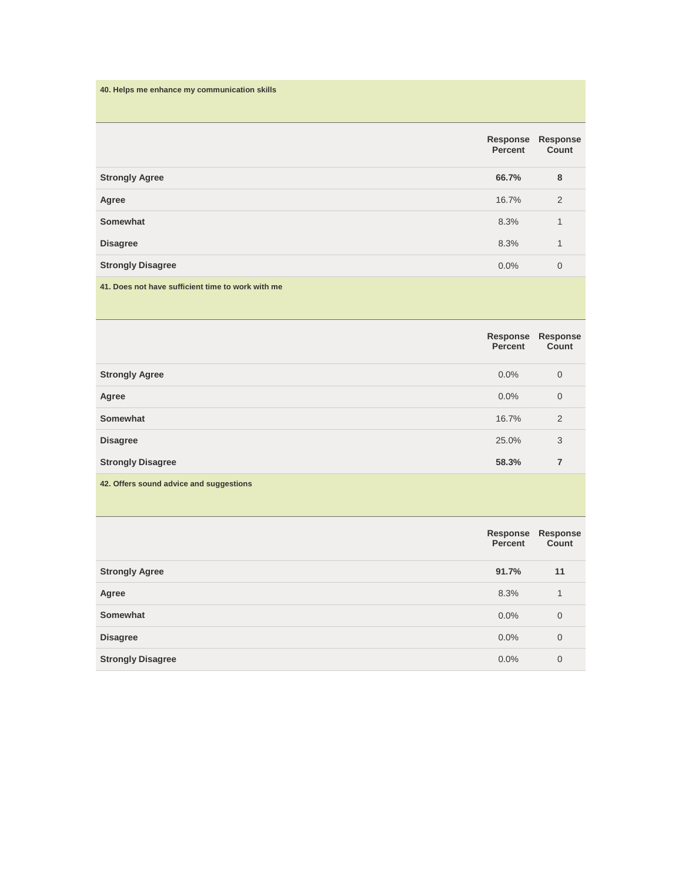| 40. Helps me enhance my communication skills      |                            |                   |
|---------------------------------------------------|----------------------------|-------------------|
|                                                   | Response<br><b>Percent</b> | Response<br>Count |
| <b>Strongly Agree</b>                             | 66.7%                      | 8                 |
| Agree                                             | 16.7%                      | 2                 |
| Somewhat                                          | 8.3%                       | 1                 |
| <b>Disagree</b>                                   | 8.3%                       | 1                 |
| <b>Strongly Disagree</b>                          | 0.0%                       | $\mathbf 0$       |
| 41. Does not have sufficient time to work with me |                            |                   |

|                                         | Response<br><b>Percent</b> | <b>Response</b><br>Count |
|-----------------------------------------|----------------------------|--------------------------|
| <b>Strongly Agree</b>                   | $0.0\%$                    | $\mathbf 0$              |
| Agree                                   | $0.0\%$                    | $\overline{0}$           |
| Somewhat                                | 16.7%                      | 2                        |
| <b>Disagree</b>                         | 25.0%                      | 3                        |
| <b>Strongly Disagree</b>                | 58.3%                      | 7                        |
| 42. Offers sound advice and suggestions |                            |                          |

|                          | Percent | Response Response<br>Count |
|--------------------------|---------|----------------------------|
| <b>Strongly Agree</b>    | 91.7%   | 11                         |
| Agree                    | 8.3%    | 1                          |
| Somewhat                 | $0.0\%$ | $\mathbf 0$                |
| <b>Disagree</b>          | $0.0\%$ | $\mathbf 0$                |
| <b>Strongly Disagree</b> | $0.0\%$ | $\overline{0}$             |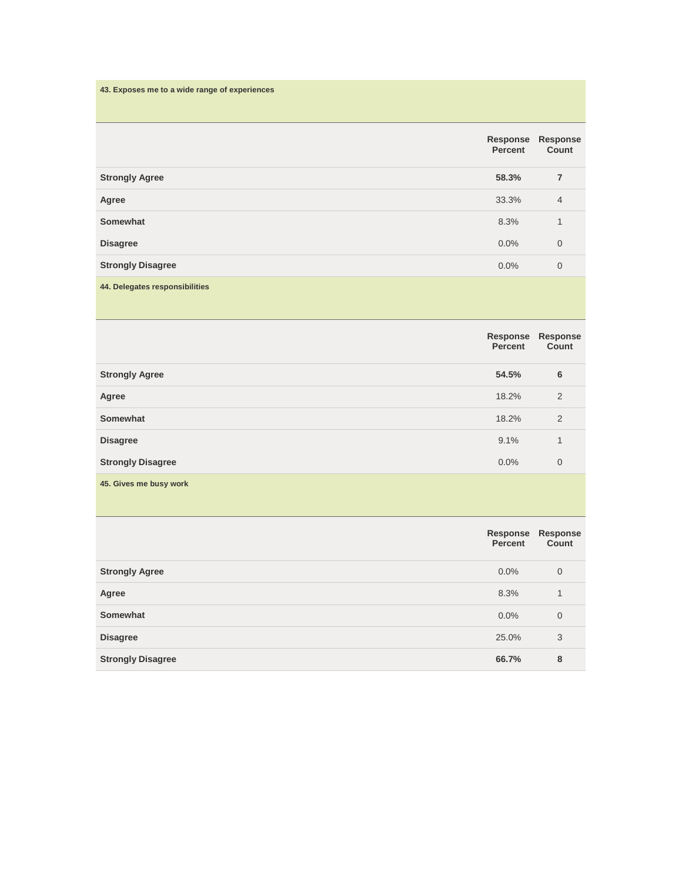| 43. Exposes me to a wide range of experiences |                            |                   |
|-----------------------------------------------|----------------------------|-------------------|
|                                               | Response<br><b>Percent</b> | Response<br>Count |
| <b>Strongly Agree</b>                         | 58.3%                      | 7                 |
| Agree                                         | 33.3%                      | $\overline{4}$    |
| Somewhat                                      | 8.3%                       | 1                 |
| <b>Disagree</b>                               | 0.0%                       | $\mathbf 0$       |
| <b>Strongly Disagree</b>                      | 0.0%                       | $\mathbf 0$       |
| 44. Delegates responsibilities                |                            |                   |

|                          | Response<br>Percent | Response<br>Count |
|--------------------------|---------------------|-------------------|
| <b>Strongly Agree</b>    | 54.5%               | 6                 |
| Agree                    | 18.2%               | 2                 |
| Somewhat                 | 18.2%               | 2                 |
| <b>Disagree</b>          | 9.1%                | 1                 |
| <b>Strongly Disagree</b> | 0.0%                | $\mathbf 0$       |
| 45. Gives me busy work   |                     |                   |

|                          | Response<br>Percent | Response<br>Count |
|--------------------------|---------------------|-------------------|
| <b>Strongly Agree</b>    | $0.0\%$             | $\overline{0}$    |
| Agree                    | 8.3%                | 1                 |
| Somewhat                 | 0.0%                | $\overline{0}$    |
| <b>Disagree</b>          | 25.0%               | 3                 |
| <b>Strongly Disagree</b> | 66.7%               | 8                 |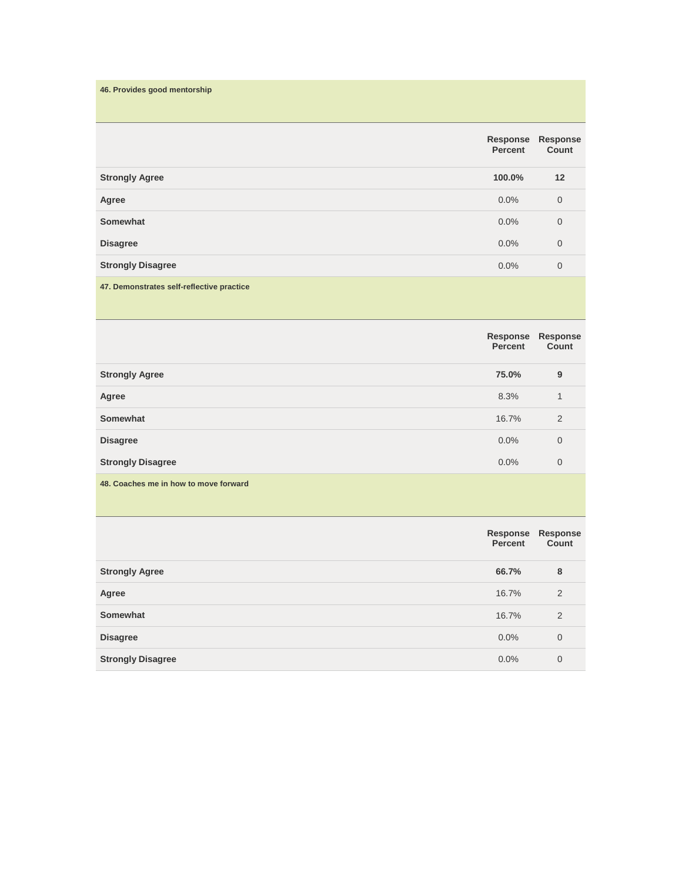| 46. Provides good mentorship              |                            |                   |
|-------------------------------------------|----------------------------|-------------------|
|                                           | Response<br><b>Percent</b> | Response<br>Count |
| <b>Strongly Agree</b>                     | 100.0%                     | 12                |
| Agree                                     | 0.0%                       | $\mathbf 0$       |
| Somewhat                                  | 0.0%                       | $\overline{0}$    |
| <b>Disagree</b>                           | 0.0%                       | $\mathbf 0$       |
| <b>Strongly Disagree</b>                  | 0.0%                       | $\overline{0}$    |
| 47. Demonstrates self-reflective practice |                            |                   |

|                                       | Response<br>Percent | Response<br>Count |
|---------------------------------------|---------------------|-------------------|
| <b>Strongly Agree</b>                 | 75.0%               | 9                 |
| Agree                                 | 8.3%                | 1                 |
| Somewhat                              | 16.7%               | 2                 |
| <b>Disagree</b>                       | $0.0\%$             | $\overline{0}$    |
| <b>Strongly Disagree</b>              | $0.0\%$             | $\mathbf 0$       |
| 48. Coaches me in how to move forward |                     |                   |

|                          | Percent | Response Response<br>Count |
|--------------------------|---------|----------------------------|
| <b>Strongly Agree</b>    | 66.7%   | 8                          |
| Agree                    | 16.7%   | 2                          |
| Somewhat                 | 16.7%   | $\overline{2}$             |
| <b>Disagree</b>          | $0.0\%$ | $\overline{0}$             |
| <b>Strongly Disagree</b> | $0.0\%$ | 0                          |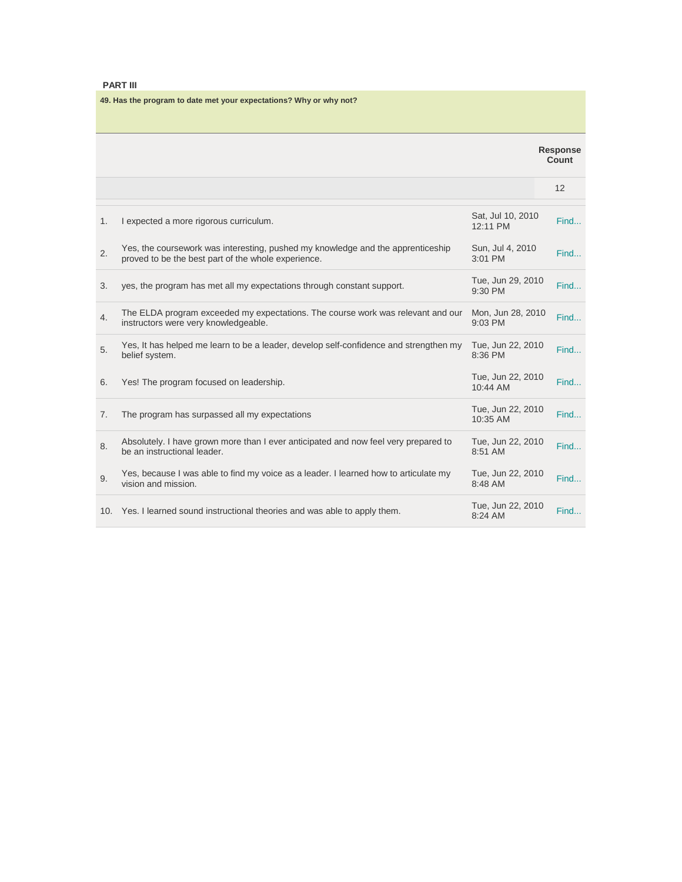# **PART III**

**49. Has the program to date met your expectations? Why or why not?**

|    |                                                                                                                                        |                               | <b>Response</b><br>Count |
|----|----------------------------------------------------------------------------------------------------------------------------------------|-------------------------------|--------------------------|
|    |                                                                                                                                        |                               | 12                       |
| 1. | I expected a more rigorous curriculum.                                                                                                 | Sat, Jul 10, 2010<br>12:11 PM | Find                     |
| 2. | Yes, the coursework was interesting, pushed my knowledge and the apprenticeship<br>proved to be the best part of the whole experience. | Sun, Jul 4, 2010<br>3:01 PM   | Find                     |
| 3. | yes, the program has met all my expectations through constant support.                                                                 | Tue, Jun 29, 2010<br>9:30 PM  | Find                     |
| 4. | The ELDA program exceeded my expectations. The course work was relevant and our<br>instructors were very knowledgeable.                | Mon, Jun 28, 2010<br>9:03 PM  | Find                     |
| 5. | Yes, It has helped me learn to be a leader, develop self-confidence and strengthen my<br>belief system.                                | Tue, Jun 22, 2010<br>8:36 PM  | Find                     |
| 6. | Yes! The program focused on leadership.                                                                                                | Tue, Jun 22, 2010<br>10:44 AM | Find                     |
| 7. | The program has surpassed all my expectations                                                                                          | Tue, Jun 22, 2010<br>10:35 AM | Find                     |
| 8. | Absolutely. I have grown more than I ever anticipated and now feel very prepared to<br>be an instructional leader.                     | Tue, Jun 22, 2010<br>8:51 AM  | Find                     |
| 9. | Yes, because I was able to find my voice as a leader. I learned how to articulate my<br>vision and mission.                            | Tue, Jun 22, 2010<br>8:48 AM  | Find                     |
|    | 10. Yes. I learned sound instructional theories and was able to apply them.                                                            | Tue, Jun 22, 2010<br>8:24 AM  | Find                     |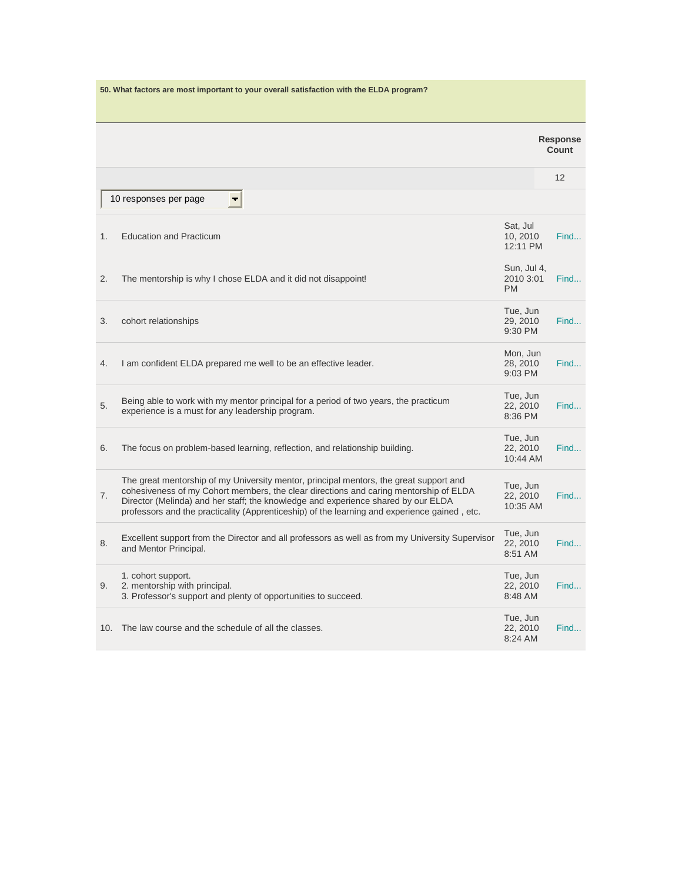|     | 50. What factors are most important to your overall satisfaction with the ELDA program?                                                                                                                                                                                                                                                                              |                                       |                          |      |
|-----|----------------------------------------------------------------------------------------------------------------------------------------------------------------------------------------------------------------------------------------------------------------------------------------------------------------------------------------------------------------------|---------------------------------------|--------------------------|------|
|     |                                                                                                                                                                                                                                                                                                                                                                      |                                       | <b>Response</b><br>Count |      |
|     |                                                                                                                                                                                                                                                                                                                                                                      |                                       | 12                       |      |
|     | 10 responses per page                                                                                                                                                                                                                                                                                                                                                |                                       |                          |      |
| 1.  | <b>Education and Practicum</b>                                                                                                                                                                                                                                                                                                                                       | Sat, Jul<br>10, 2010<br>12:11 PM      |                          | Find |
| 2.  | The mentorship is why I chose ELDA and it did not disappoint!                                                                                                                                                                                                                                                                                                        | Sun, Jul 4,<br>2010 3:01<br><b>PM</b> |                          | Find |
| 3.  | cohort relationships                                                                                                                                                                                                                                                                                                                                                 | Tue, Jun<br>29, 2010<br>9:30 PM       |                          | Find |
| 4.  | I am confident ELDA prepared me well to be an effective leader.                                                                                                                                                                                                                                                                                                      | Mon, Jun<br>28, 2010<br>9:03 PM       |                          | Find |
| 5.  | Being able to work with my mentor principal for a period of two years, the practicum<br>experience is a must for any leadership program.                                                                                                                                                                                                                             | Tue, Jun<br>22, 2010<br>8:36 PM       |                          | Find |
| 6.  | The focus on problem-based learning, reflection, and relationship building.                                                                                                                                                                                                                                                                                          | Tue, Jun<br>22, 2010<br>10:44 AM      |                          | Find |
| 7.  | The great mentorship of my University mentor, principal mentors, the great support and<br>cohesiveness of my Cohort members, the clear directions and caring mentorship of ELDA<br>Director (Melinda) and her staff; the knowledge and experience shared by our ELDA<br>professors and the practicality (Apprenticeship) of the learning and experience gained, etc. | Tue, Jun<br>22, 2010<br>10:35 AM      |                          | Find |
| 8.  | Excellent support from the Director and all professors as well as from my University Supervisor<br>and Mentor Principal.                                                                                                                                                                                                                                             | Tue, Jun<br>22, 2010<br>8:51 AM       |                          | Find |
| 9.  | 1. cohort support.<br>2. mentorship with principal.<br>3. Professor's support and plenty of opportunities to succeed.                                                                                                                                                                                                                                                | Tue, Jun<br>22, 2010<br>8:48 AM       |                          | Find |
| 10. | The law course and the schedule of all the classes.                                                                                                                                                                                                                                                                                                                  | Tue, Jun<br>22, 2010<br>8:24 AM       |                          | Find |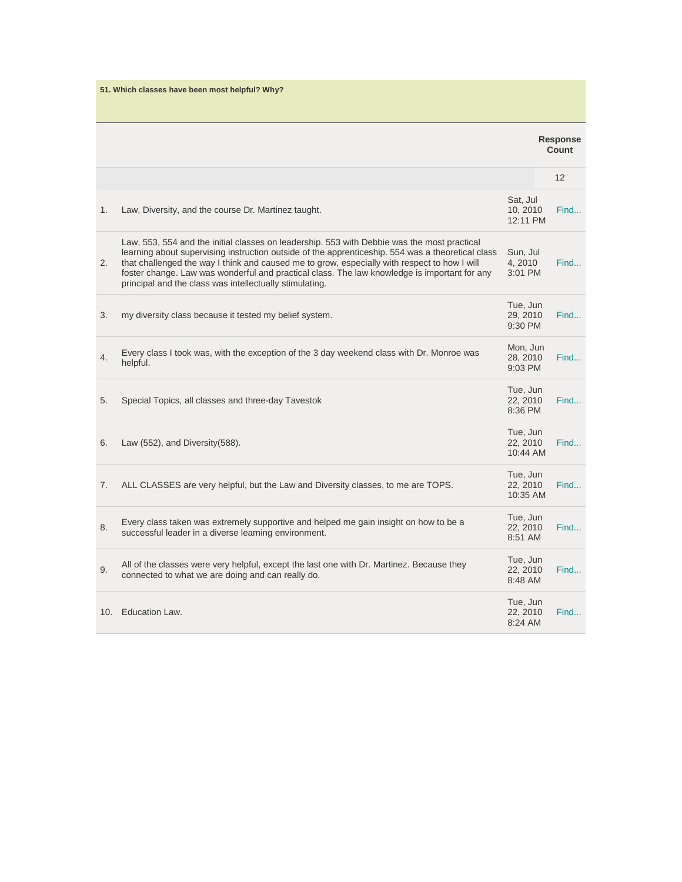|    | 51. Which classes have been most helpful? Why?                                                                                                                                                                                                                                                                                                                                                                                                              |                                  |                          |
|----|-------------------------------------------------------------------------------------------------------------------------------------------------------------------------------------------------------------------------------------------------------------------------------------------------------------------------------------------------------------------------------------------------------------------------------------------------------------|----------------------------------|--------------------------|
|    |                                                                                                                                                                                                                                                                                                                                                                                                                                                             |                                  | <b>Response</b><br>Count |
|    |                                                                                                                                                                                                                                                                                                                                                                                                                                                             |                                  | 12                       |
| 1. | Law, Diversity, and the course Dr. Martinez taught.                                                                                                                                                                                                                                                                                                                                                                                                         | Sat, Jul<br>10, 2010<br>12:11 PM | Find                     |
| 2. | Law, 553, 554 and the initial classes on leadership. 553 with Debbie was the most practical<br>learning about supervising instruction outside of the apprenticeship. 554 was a theoretical class<br>that challenged the way I think and caused me to grow, especially with respect to how I will<br>foster change. Law was wonderful and practical class. The law knowledge is important for any<br>principal and the class was intellectually stimulating. | Sun, Jul<br>4, 2010<br>3:01 PM   | Find                     |
| 3. | my diversity class because it tested my belief system.                                                                                                                                                                                                                                                                                                                                                                                                      | Tue, Jun<br>29, 2010<br>9:30 PM  | Find                     |
| 4. | Every class I took was, with the exception of the 3 day weekend class with Dr. Monroe was<br>helpful.                                                                                                                                                                                                                                                                                                                                                       | Mon, Jun<br>28, 2010<br>9:03 PM  | Find                     |
| 5. | Special Topics, all classes and three-day Tavestok                                                                                                                                                                                                                                                                                                                                                                                                          | Tue, Jun<br>22, 2010<br>8:36 PM  | Find                     |
| 6. | Law (552), and Diversity (588).                                                                                                                                                                                                                                                                                                                                                                                                                             | Tue, Jun<br>22.2010<br>10:44 AM  | Find                     |
| 7. | ALL CLASSES are very helpful, but the Law and Diversity classes, to me are TOPS.                                                                                                                                                                                                                                                                                                                                                                            | Tue, Jun<br>22, 2010<br>10:35 AM | Find                     |
| 8. | Every class taken was extremely supportive and helped me gain insight on how to be a<br>successful leader in a diverse learning environment.                                                                                                                                                                                                                                                                                                                | Tue, Jun<br>22, 2010<br>8:51 AM  | Find                     |
| 9. | All of the classes were very helpful, except the last one with Dr. Martinez. Because they<br>connected to what we are doing and can really do.                                                                                                                                                                                                                                                                                                              | Tue, Jun<br>22, 2010<br>8:48 AM  | Find                     |
|    | 10. Education Law.                                                                                                                                                                                                                                                                                                                                                                                                                                          | Tue, Jun<br>22, 2010<br>8:24 AM  | Find                     |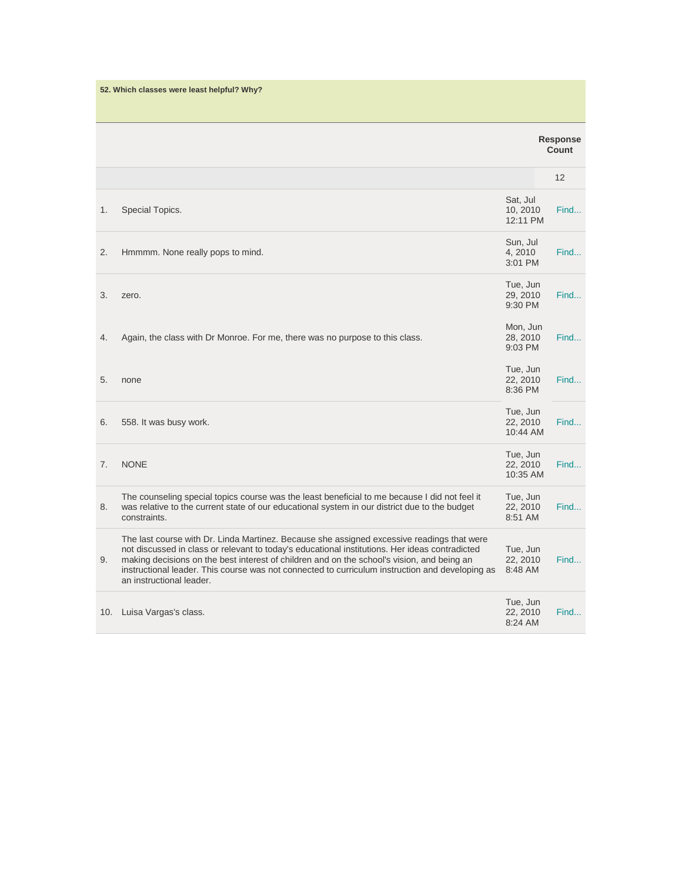| 52. Which classes were least helpful? Why? |                                                                                                                                                                                                                                                                                                                                                                                                                           |                                  |                   |  |
|--------------------------------------------|---------------------------------------------------------------------------------------------------------------------------------------------------------------------------------------------------------------------------------------------------------------------------------------------------------------------------------------------------------------------------------------------------------------------------|----------------------------------|-------------------|--|
|                                            |                                                                                                                                                                                                                                                                                                                                                                                                                           |                                  |                   |  |
|                                            |                                                                                                                                                                                                                                                                                                                                                                                                                           |                                  | Response<br>Count |  |
|                                            |                                                                                                                                                                                                                                                                                                                                                                                                                           |                                  | 12                |  |
| 1.                                         | Special Topics.                                                                                                                                                                                                                                                                                                                                                                                                           | Sat, Jul<br>10, 2010<br>12:11 PM | Find              |  |
| 2.                                         | Hmmmm. None really pops to mind.                                                                                                                                                                                                                                                                                                                                                                                          | Sun, Jul<br>4, 2010<br>3:01 PM   | Find              |  |
| 3.                                         | zero.                                                                                                                                                                                                                                                                                                                                                                                                                     | Tue, Jun<br>29, 2010<br>9:30 PM  | Find              |  |
| 4.                                         | Again, the class with Dr Monroe. For me, there was no purpose to this class.                                                                                                                                                                                                                                                                                                                                              | Mon, Jun<br>28, 2010<br>9:03 PM  | Find              |  |
| 5.                                         | none                                                                                                                                                                                                                                                                                                                                                                                                                      | Tue, Jun<br>22, 2010<br>8:36 PM  | Find              |  |
| 6.                                         | 558. It was busy work.                                                                                                                                                                                                                                                                                                                                                                                                    | Tue, Jun<br>22, 2010<br>10:44 AM | Find              |  |
| 7.                                         | <b>NONE</b>                                                                                                                                                                                                                                                                                                                                                                                                               | Tue, Jun<br>22, 2010<br>10:35 AM | Find              |  |
| 8.                                         | The counseling special topics course was the least beneficial to me because I did not feel it<br>was relative to the current state of our educational system in our district due to the budget<br>constraints.                                                                                                                                                                                                            | Tue, Jun<br>22, 2010<br>8:51 AM  | Find              |  |
| 9.                                         | The last course with Dr. Linda Martinez. Because she assigned excessive readings that were<br>not discussed in class or relevant to today's educational institutions. Her ideas contradicted<br>making decisions on the best interest of children and on the school's vision, and being an<br>instructional leader. This course was not connected to curriculum instruction and developing as<br>an instructional leader. | Tue, Jun<br>22, 2010<br>8:48 AM  | Find              |  |
| 10.                                        | Luisa Vargas's class.                                                                                                                                                                                                                                                                                                                                                                                                     | Tue, Jun<br>22, 2010<br>8:24 AM  | Find              |  |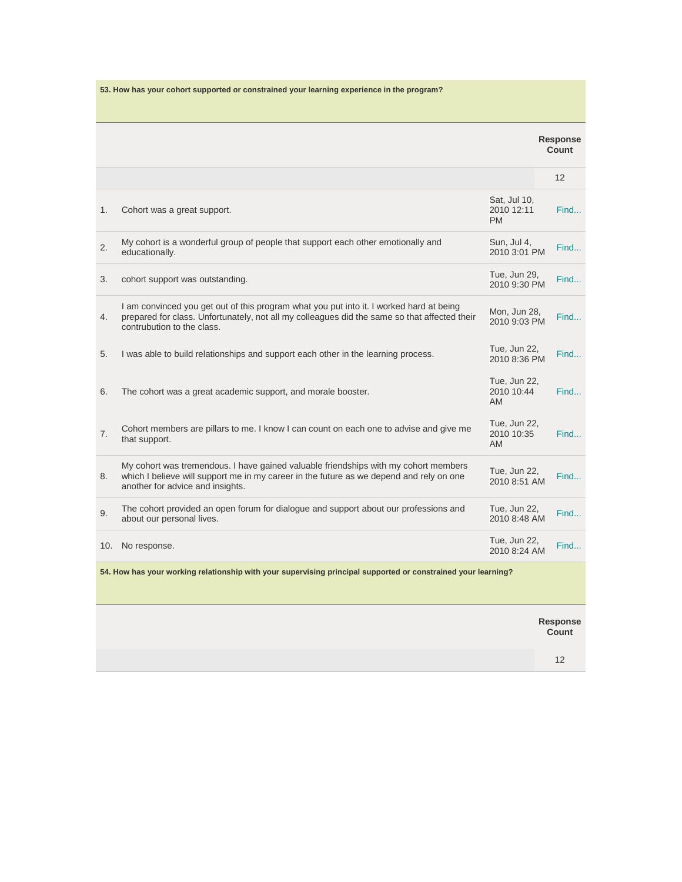|     | 53. How has your cohort supported or constrained your learning experience in the program?                                                                                                                             |                                         |                          |
|-----|-----------------------------------------------------------------------------------------------------------------------------------------------------------------------------------------------------------------------|-----------------------------------------|--------------------------|
|     |                                                                                                                                                                                                                       |                                         |                          |
|     |                                                                                                                                                                                                                       |                                         | <b>Response</b><br>Count |
|     |                                                                                                                                                                                                                       |                                         | 12                       |
| 1.  | Cohort was a great support.                                                                                                                                                                                           | Sat, Jul 10,<br>2010 12:11<br><b>PM</b> | Find                     |
| 2.  | My cohort is a wonderful group of people that support each other emotionally and<br>educationally.                                                                                                                    | Sun, Jul 4,<br>2010 3:01 PM             | Find                     |
| 3.  | cohort support was outstanding.                                                                                                                                                                                       | Tue, Jun 29,<br>2010 9:30 PM            | Find                     |
| 4.  | I am convinced you get out of this program what you put into it. I worked hard at being<br>prepared for class. Unfortunately, not all my colleagues did the same so that affected their<br>contrubution to the class. | Mon, Jun 28,<br>2010 9:03 PM            | Find                     |
| 5.  | I was able to build relationships and support each other in the learning process.                                                                                                                                     | Tue, Jun 22,<br>2010 8:36 PM            | Find                     |
| 6.  | The cohort was a great academic support, and morale booster.                                                                                                                                                          | Tue, Jun 22,<br>2010 10:44<br>AM.       | Find                     |
| 7.  | Cohort members are pillars to me. I know I can count on each one to advise and give me<br>that support.                                                                                                               | Tue, Jun 22,<br>2010 10:35<br><b>AM</b> | Find                     |
| 8.  | My cohort was tremendous. I have gained valuable friendships with my cohort members<br>which I believe will support me in my career in the future as we depend and rely on one<br>another for advice and insights.    | Tue, Jun 22,<br>2010 8:51 AM            | Find                     |
| 9.  | The cohort provided an open forum for dialogue and support about our professions and<br>about our personal lives.                                                                                                     | Tue, Jun 22,<br>2010 8:48 AM            | Find                     |
| 10. | No response.                                                                                                                                                                                                          | Tue, Jun 22,<br>2010 8:24 AM            | Find                     |
|     | 54. How has your working relationship with your supervising principal supported or constrained your learning?                                                                                                         |                                         |                          |
|     |                                                                                                                                                                                                                       |                                         | Response<br>Count        |
|     |                                                                                                                                                                                                                       |                                         | 12                       |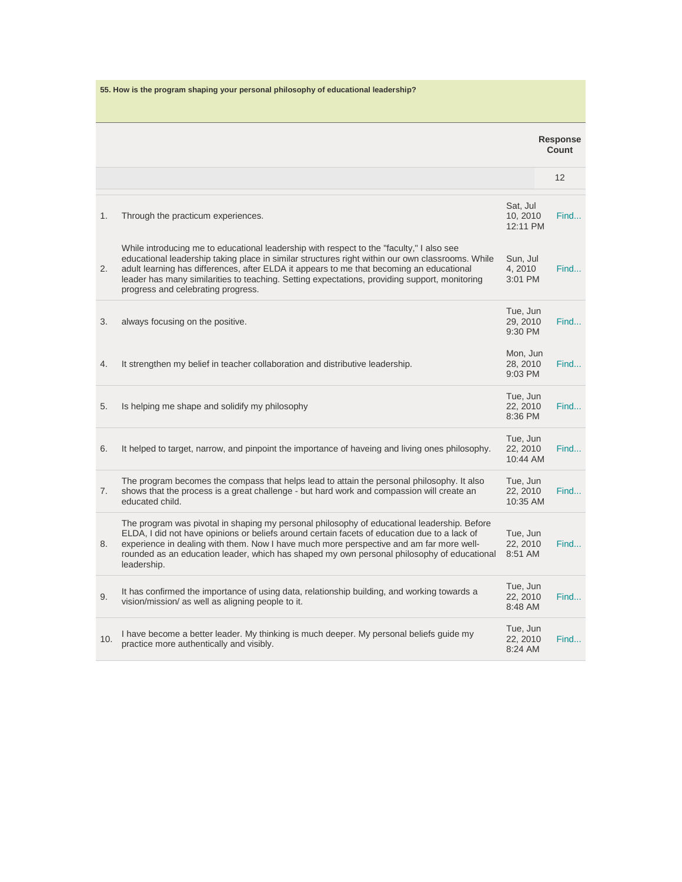| 55. How is the program shaping your personal philosophy of educational leadership? |                                                                                                                                                                                                                                                                                                                                                                                                                                 |                                  |                          |
|------------------------------------------------------------------------------------|---------------------------------------------------------------------------------------------------------------------------------------------------------------------------------------------------------------------------------------------------------------------------------------------------------------------------------------------------------------------------------------------------------------------------------|----------------------------------|--------------------------|
|                                                                                    |                                                                                                                                                                                                                                                                                                                                                                                                                                 |                                  |                          |
|                                                                                    |                                                                                                                                                                                                                                                                                                                                                                                                                                 |                                  | <b>Response</b><br>Count |
|                                                                                    |                                                                                                                                                                                                                                                                                                                                                                                                                                 |                                  | 12                       |
| 1.                                                                                 | Through the practicum experiences.                                                                                                                                                                                                                                                                                                                                                                                              | Sat, Jul<br>10, 2010<br>12:11 PM | Find                     |
| 2.                                                                                 | While introducing me to educational leadership with respect to the "faculty," I also see<br>educational leadership taking place in similar structures right within our own classrooms. While<br>adult learning has differences, after ELDA it appears to me that becoming an educational<br>leader has many similarities to teaching. Setting expectations, providing support, monitoring<br>progress and celebrating progress. | Sun, Jul<br>4, 2010<br>3:01 PM   | Find                     |
| 3.                                                                                 | always focusing on the positive.                                                                                                                                                                                                                                                                                                                                                                                                | Tue, Jun<br>29, 2010<br>9:30 PM  | Find                     |
| 4.                                                                                 | It strengthen my belief in teacher collaboration and distributive leadership.                                                                                                                                                                                                                                                                                                                                                   | Mon, Jun<br>28, 2010<br>9:03 PM  | Find                     |
| 5.                                                                                 | Is helping me shape and solidify my philosophy                                                                                                                                                                                                                                                                                                                                                                                  | Tue, Jun<br>22.2010<br>8:36 PM   | Find                     |
| 6.                                                                                 | It helped to target, narrow, and pinpoint the importance of haveing and living ones philosophy.                                                                                                                                                                                                                                                                                                                                 | Tue, Jun<br>22, 2010<br>10:44 AM | Find                     |
| 7.                                                                                 | The program becomes the compass that helps lead to attain the personal philosophy. It also<br>shows that the process is a great challenge - but hard work and compassion will create an<br>educated child.                                                                                                                                                                                                                      | Tue, Jun<br>22, 2010<br>10:35 AM | Find                     |
| 8.                                                                                 | The program was pivotal in shaping my personal philosophy of educational leadership. Before<br>ELDA, I did not have opinions or beliefs around certain facets of education due to a lack of<br>experience in dealing with them. Now I have much more perspective and am far more well-<br>rounded as an education leader, which has shaped my own personal philosophy of educational<br>leadership.                             | Tue, Jun<br>22, 2010<br>8:51 AM  | Find                     |
| 9.                                                                                 | It has confirmed the importance of using data, relationship building, and working towards a<br>vision/mission/ as well as aligning people to it.                                                                                                                                                                                                                                                                                | Tue, Jun<br>22, 2010<br>8:48 AM  | Find                     |
| 10.                                                                                | I have become a better leader. My thinking is much deeper. My personal beliefs guide my<br>practice more authentically and visibly.                                                                                                                                                                                                                                                                                             | Tue, Jun<br>22, 2010<br>8:24 AM  | Find                     |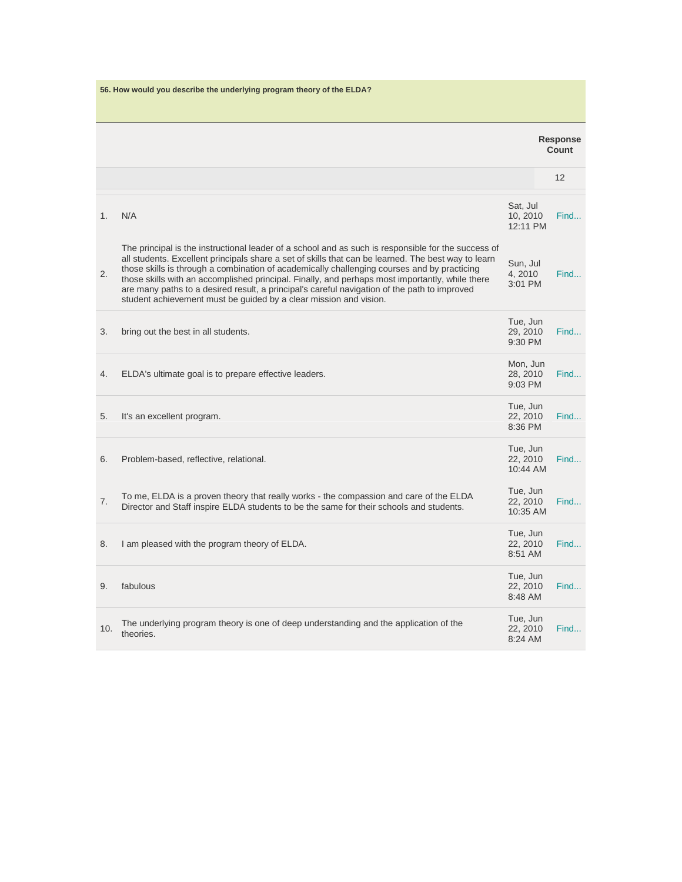| 56. How would you describe the underlying program theory of the ELDA? |                                                                                                                                                                                                                                                                                                                                                                                                                                                                                                                                                                                   |                                  |                          |  |
|-----------------------------------------------------------------------|-----------------------------------------------------------------------------------------------------------------------------------------------------------------------------------------------------------------------------------------------------------------------------------------------------------------------------------------------------------------------------------------------------------------------------------------------------------------------------------------------------------------------------------------------------------------------------------|----------------------------------|--------------------------|--|
|                                                                       |                                                                                                                                                                                                                                                                                                                                                                                                                                                                                                                                                                                   |                                  | <b>Response</b><br>Count |  |
|                                                                       |                                                                                                                                                                                                                                                                                                                                                                                                                                                                                                                                                                                   |                                  | 12                       |  |
| 1.                                                                    | N/A                                                                                                                                                                                                                                                                                                                                                                                                                                                                                                                                                                               | Sat, Jul<br>10, 2010<br>12:11 PM | Find                     |  |
| 2.                                                                    | The principal is the instructional leader of a school and as such is responsible for the success of<br>all students. Excellent principals share a set of skills that can be learned. The best way to learn<br>those skills is through a combination of academically challenging courses and by practicing<br>those skills with an accomplished principal. Finally, and perhaps most importantly, while there<br>are many paths to a desired result, a principal's careful navigation of the path to improved<br>student achievement must be guided by a clear mission and vision. | Sun, Jul<br>4, 2010<br>3:01 PM   | Find                     |  |
| 3.                                                                    | bring out the best in all students.                                                                                                                                                                                                                                                                                                                                                                                                                                                                                                                                               | Tue, Jun<br>29, 2010<br>9:30 PM  | Find                     |  |
| 4.                                                                    | ELDA's ultimate goal is to prepare effective leaders.                                                                                                                                                                                                                                                                                                                                                                                                                                                                                                                             | Mon, Jun<br>28, 2010<br>9:03 PM  | Find                     |  |
| 5.                                                                    | It's an excellent program.                                                                                                                                                                                                                                                                                                                                                                                                                                                                                                                                                        | Tue, Jun<br>22, 2010<br>8:36 PM  | Find                     |  |
| 6.                                                                    | Problem-based, reflective, relational.                                                                                                                                                                                                                                                                                                                                                                                                                                                                                                                                            | Tue, Jun<br>22, 2010<br>10:44 AM | Find                     |  |
| 7.                                                                    | To me, ELDA is a proven theory that really works - the compassion and care of the ELDA<br>Director and Staff inspire ELDA students to be the same for their schools and students.                                                                                                                                                                                                                                                                                                                                                                                                 | Tue, Jun<br>22, 2010<br>10:35 AM | Find                     |  |
| 8.                                                                    | I am pleased with the program theory of ELDA.                                                                                                                                                                                                                                                                                                                                                                                                                                                                                                                                     | Tue, Jun<br>22, 2010<br>8:51 AM  | Find                     |  |
| 9.                                                                    | fabulous                                                                                                                                                                                                                                                                                                                                                                                                                                                                                                                                                                          | Tue, Jun<br>22, 2010<br>8:48 AM  | Find                     |  |
| 10.                                                                   | The underlying program theory is one of deep understanding and the application of the<br>theories.                                                                                                                                                                                                                                                                                                                                                                                                                                                                                | Tue, Jun<br>22, 2010<br>8:24 AM  | Find                     |  |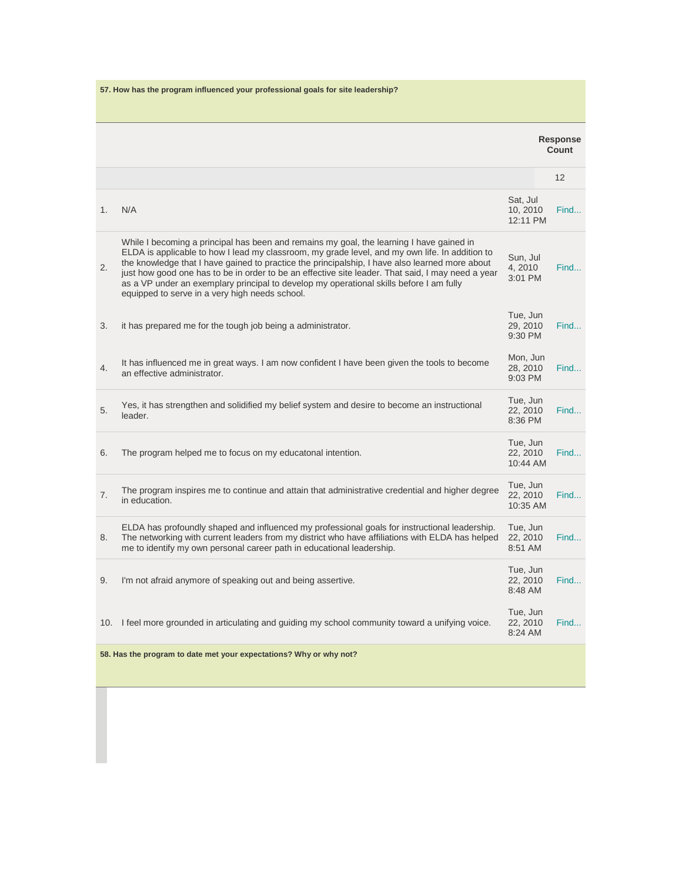| 1. |                                                                                                                                                                                                                                                                                                                                                                                                                                                                                                                                                |                                  | 12   |
|----|------------------------------------------------------------------------------------------------------------------------------------------------------------------------------------------------------------------------------------------------------------------------------------------------------------------------------------------------------------------------------------------------------------------------------------------------------------------------------------------------------------------------------------------------|----------------------------------|------|
|    |                                                                                                                                                                                                                                                                                                                                                                                                                                                                                                                                                |                                  |      |
|    | N/A                                                                                                                                                                                                                                                                                                                                                                                                                                                                                                                                            | Sat, Jul<br>10, 2010<br>12:11 PM | Find |
| 2. | While I becoming a principal has been and remains my goal, the learning I have gained in<br>ELDA is applicable to how I lead my classroom, my grade level, and my own life. In addition to<br>the knowledge that I have gained to practice the principalship, I have also learned more about<br>just how good one has to be in order to be an effective site leader. That said, I may need a year<br>as a VP under an exemplary principal to develop my operational skills before I am fully<br>equipped to serve in a very high needs school. | Sun, Jul<br>4,2010<br>3:01 PM    | Find |
| 3. | it has prepared me for the tough job being a administrator.                                                                                                                                                                                                                                                                                                                                                                                                                                                                                    | Tue, Jun<br>29, 2010<br>9:30 PM  | Find |
| 4. | It has influenced me in great ways. I am now confident I have been given the tools to become<br>an effective administrator.                                                                                                                                                                                                                                                                                                                                                                                                                    | Mon, Jun<br>28, 2010<br>9:03 PM  | Find |
| 5. | Yes, it has strengthen and solidified my belief system and desire to become an instructional<br>leader.                                                                                                                                                                                                                                                                                                                                                                                                                                        | Tue, Jun<br>22, 2010<br>8:36 PM  | Find |
| 6. | The program helped me to focus on my educatonal intention.                                                                                                                                                                                                                                                                                                                                                                                                                                                                                     | Tue, Jun<br>22, 2010<br>10:44 AM | Find |
| 7. | The program inspires me to continue and attain that administrative credential and higher degree<br>in education.                                                                                                                                                                                                                                                                                                                                                                                                                               | Tue, Jun<br>22, 2010<br>10:35 AM | Find |
| 8. | ELDA has profoundly shaped and influenced my professional goals for instructional leadership.<br>The networking with current leaders from my district who have affiliations with ELDA has helped<br>me to identify my own personal career path in educational leadership.                                                                                                                                                                                                                                                                      | Tue, Jun<br>22, 2010<br>8:51 AM  | Find |
|    | I'm not afraid anymore of speaking out and being assertive.                                                                                                                                                                                                                                                                                                                                                                                                                                                                                    | Tue, Jun<br>22, 2010<br>8:48 AM  | Find |
|    | 10. I feel more grounded in articulating and guiding my school community toward a unifying voice.                                                                                                                                                                                                                                                                                                                                                                                                                                              | Tue, Jun<br>22, 2010<br>8:24 AM  | Find |
|    | 58. Has the program to date met your expectations? Why or why not?                                                                                                                                                                                                                                                                                                                                                                                                                                                                             |                                  |      |